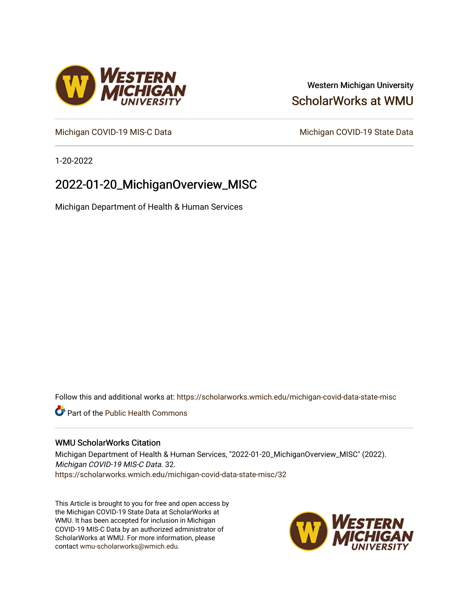## Western Michigan University [ScholarWorks at WMU](https://scholarworks.wmich.edu/)

[Michigan COVID-19 MIS-C Data](https://scholarworks.wmich.edu/michigan-covid-data-state-misc) Michigan COVID-19 State Data

1-20-2022

# 2022-01-20\_MichiganOverview\_MISC

Michigan Department of Health & Human Services

Follow this and additional works at: [https://scholarworks.wmich.edu/michigan-covid-data-state-misc](https://scholarworks.wmich.edu/michigan-covid-data-state-misc?utm_source=scholarworks.wmich.edu%2Fmichigan-covid-data-state-misc%2F32&utm_medium=PDF&utm_campaign=PDFCoverPages) 

**Part of the Public Health Commons** 

#### WMU ScholarWorks Citation

Michigan Department of Health & Human Services, "2022-01-20\_MichiganOverview\_MISC" (2022). Michigan COVID-19 MIS-C Data. 32. [https://scholarworks.wmich.edu/michigan-covid-data-state-misc/32](https://scholarworks.wmich.edu/michigan-covid-data-state-misc/32?utm_source=scholarworks.wmich.edu%2Fmichigan-covid-data-state-misc%2F32&utm_medium=PDF&utm_campaign=PDFCoverPages)

This Article is brought to you for free and open access by the Michigan COVID-19 State Data at ScholarWorks at WMU. It has been accepted for inclusion in Michigan COVID-19 MIS-C Data by an authorized administrator of ScholarWorks at WMU. For more information, please contact [wmu-scholarworks@wmich.edu](mailto:wmu-scholarworks@wmich.edu).



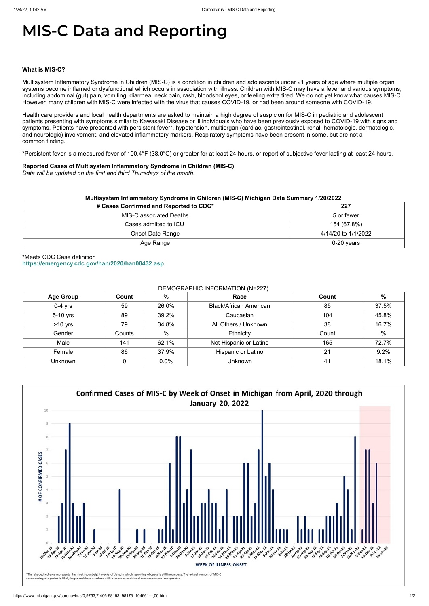# **MIS-C Data and Reporting**

#### **What is MIS-C?**

Multisystem Inflammatory Syndrome in Children (MIS-C) is a condition in children and adolescents under 21 years of age where multiple organ systems become inflamed or dysfunctional which occurs in association with illness. Children with MIS-C may have a fever and various symptoms, including abdominal (gut) pain, vomiting, diarrhea, neck pain, rash, bloodshot eyes, or feeling extra tired. We do not yet know what causes MIS-C. However, many children with MIS-C were infected with the virus that causes COVID-19, or had been around someone with COVID-19.

Health care providers and local health departments are asked to maintain a high degree of suspicion for MIS-C in pediatric and adolescent patients presenting with symptoms similar to Kawasaki Disease or ill individuals who have been previously exposed to COVID-19 with signs and symptoms. Patients have presented with persistent fever\*, hypotension, multiorgan (cardiac, gastrointestinal, renal, hematologic, dermatologic, and neurologic) involvement, and elevated inflammatory markers. Respiratory symptoms have been present in some, but are not a common finding.

\*Persistent fever is a measured fever of 100.4°F (38.0°C) or greater for at least 24 hours, or report of subjective fever lasting at least 24 hours.

#### **Reported Cases of Multisystem Inflammatory Syndrome in Children (MIS-C)**

*Data will be updated on the first and third Thursdays of the month.*

| # Cases Confirmed and Reported to CDC* | 227                 |
|----------------------------------------|---------------------|
| MIS-C associated Deaths                | 5 or fewer          |
| Cases admitted to ICU                  | 154 (67.8%)         |
| <b>Onset Date Range</b>                | 4/14/20 to 1/1/2022 |
| Age Range                              | 0-20 years          |

\*Meets CDC Case definition **<https://emergency.cdc.gov/han/2020/han00432.asp>**

#### DEMOGRAPHIC INFORMATION (N=227)

| <b>Age Group</b> | Count  | %     | Race                          | Count | $\%$  |
|------------------|--------|-------|-------------------------------|-------|-------|
| $0-4$ yrs        | 59     | 26.0% | <b>Black/African American</b> | 85    | 37.5% |
| 5-10 yrs         | 89     | 39.2% | Caucasian                     | 104   | 45.8% |
| $>10$ yrs        | 79     | 34.8% | All Others / Unknown          | 38    | 16.7% |
| Gender           | Counts | $\%$  | Ethnicity                     | Count | $\%$  |
| Male             | 141    | 62.1% | Not Hispanic or Latino        | 165   | 72.7% |
| Female           | 86     | 37.9% | Hispanic or Latino            | 21    | 9.2%  |
| <b>Unknown</b>   |        | 0.0%  | <b>Unknown</b>                | 41    | 18.1% |